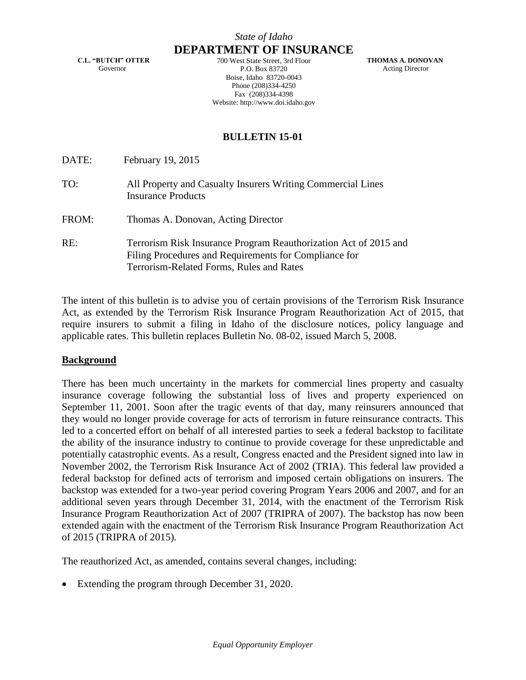**C.L. "BUTCH" OTTER** Governor

**DEPARTMENT OF INSURANCE** 700 West State Street, 3rd Floor P.O. Box 83720 Boise, Idaho 83720-0043 Phone (208)334-4250 Fax (208)334-4398 Website: http://www.doi.idaho.gov

 **THOMAS A. DONOVAN** Acting Director

# **BULLETIN 15-01**

DATE: February 19, 2015

- TO: All Property and Casualty Insurers Writing Commercial Lines Insurance Products
- FROM: Thomas A. Donovan, Acting Director
- RE: Terrorism Risk Insurance Program Reauthorization Act of 2015 and Filing Procedures and Requirements for Compliance for Terrorism-Related Forms, Rules and Rates

The intent of this bulletin is to advise you of certain provisions of the Terrorism Risk Insurance Act, as extended by the Terrorism Risk Insurance Program Reauthorization Act of 2015, that require insurers to submit a filing in Idaho of the disclosure notices, policy language and applicable rates. This bulletin replaces Bulletin No. 08-02, issued March 5, 2008.

### **Background**

There has been much uncertainty in the markets for commercial lines property and casualty insurance coverage following the substantial loss of lives and property experienced on September 11, 2001. Soon after the tragic events of that day, many reinsurers announced that they would no longer provide coverage for acts of terrorism in future reinsurance contracts. This led to a concerted effort on behalf of all interested parties to seek a federal backstop to facilitate the ability of the insurance industry to continue to provide coverage for these unpredictable and potentially catastrophic events. As a result, Congress enacted and the President signed into law in November 2002, the Terrorism Risk Insurance Act of 2002 (TRIA). This federal law provided a federal backstop for defined acts of terrorism and imposed certain obligations on insurers. The backstop was extended for a two-year period covering Program Years 2006 and 2007, and for an additional seven years through December 31, 2014, with the enactment of the Terrorism Risk Insurance Program Reauthorization Act of 2007 (TRIPRA of 2007). The backstop has now been extended again with the enactment of the Terrorism Risk Insurance Program Reauthorization Act of 2015 (TRIPRA of 2015).

The reauthorized Act, as amended, contains several changes, including:

Extending the program through December 31, 2020.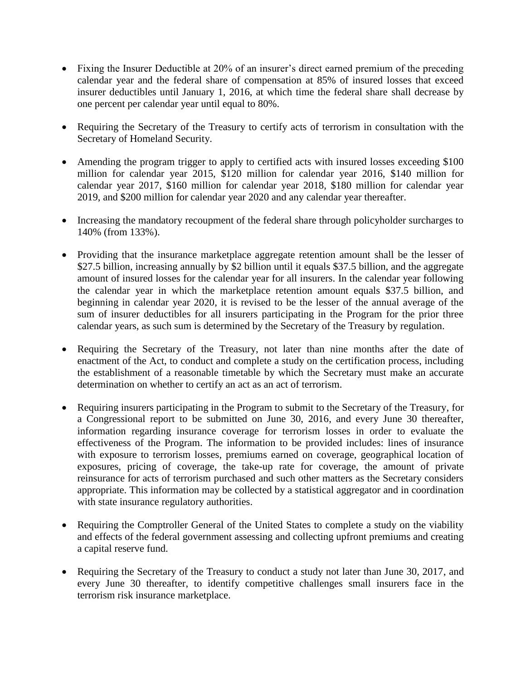- Fixing the Insurer Deductible at 20% of an insurer's direct earned premium of the preceding calendar year and the federal share of compensation at 85% of insured losses that exceed insurer deductibles until January 1, 2016, at which time the federal share shall decrease by one percent per calendar year until equal to 80%.
- Requiring the Secretary of the Treasury to certify acts of terrorism in consultation with the Secretary of Homeland Security.
- Amending the program trigger to apply to certified acts with insured losses exceeding \$100 million for calendar year 2015, \$120 million for calendar year 2016, \$140 million for calendar year 2017, \$160 million for calendar year 2018, \$180 million for calendar year 2019, and \$200 million for calendar year 2020 and any calendar year thereafter.
- Increasing the mandatory recoupment of the federal share through policyholder surcharges to 140% (from 133%).
- Providing that the insurance marketplace aggregate retention amount shall be the lesser of \$27.5 billion, increasing annually by \$2 billion until it equals \$37.5 billion, and the aggregate amount of insured losses for the calendar year for all insurers. In the calendar year following the calendar year in which the marketplace retention amount equals \$37.5 billion, and beginning in calendar year 2020, it is revised to be the lesser of the annual average of the sum of insurer deductibles for all insurers participating in the Program for the prior three calendar years, as such sum is determined by the Secretary of the Treasury by regulation.
- Requiring the Secretary of the Treasury, not later than nine months after the date of enactment of the Act, to conduct and complete a study on the certification process, including the establishment of a reasonable timetable by which the Secretary must make an accurate determination on whether to certify an act as an act of terrorism.
- Requiring insurers participating in the Program to submit to the Secretary of the Treasury, for a Congressional report to be submitted on June 30, 2016, and every June 30 thereafter, information regarding insurance coverage for terrorism losses in order to evaluate the effectiveness of the Program. The information to be provided includes: lines of insurance with exposure to terrorism losses, premiums earned on coverage, geographical location of exposures, pricing of coverage, the take-up rate for coverage, the amount of private reinsurance for acts of terrorism purchased and such other matters as the Secretary considers appropriate. This information may be collected by a statistical aggregator and in coordination with state insurance regulatory authorities.
- Requiring the Comptroller General of the United States to complete a study on the viability and effects of the federal government assessing and collecting upfront premiums and creating a capital reserve fund.
- Requiring the Secretary of the Treasury to conduct a study not later than June 30, 2017, and every June 30 thereafter, to identify competitive challenges small insurers face in the terrorism risk insurance marketplace.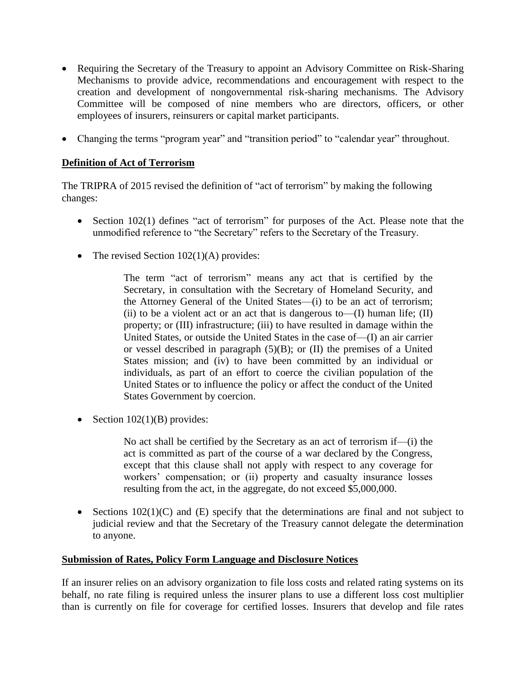- Requiring the Secretary of the Treasury to appoint an Advisory Committee on Risk-Sharing Mechanisms to provide advice, recommendations and encouragement with respect to the creation and development of nongovernmental risk-sharing mechanisms. The Advisory Committee will be composed of nine members who are directors, officers, or other employees of insurers, reinsurers or capital market participants.
- Changing the terms "program year" and "transition period" to "calendar year" throughout.

# **Definition of Act of Terrorism**

The TRIPRA of 2015 revised the definition of "act of terrorism" by making the following changes:

- Section 102(1) defines "act of terrorism" for purposes of the Act. Please note that the unmodified reference to "the Secretary" refers to the Secretary of the Treasury.
- The revised Section  $102(1)(A)$  provides:

The term "act of terrorism" means any act that is certified by the Secretary, in consultation with the Secretary of Homeland Security, and the Attorney General of the United States—(i) to be an act of terrorism; (ii) to be a violent act or an act that is dangerous to— $(I)$  human life;  $(II)$ property; or (III) infrastructure; (iii) to have resulted in damage within the United States, or outside the United States in the case of—(I) an air carrier or vessel described in paragraph (5)(B); or (II) the premises of a United States mission; and (iv) to have been committed by an individual or individuals, as part of an effort to coerce the civilian population of the United States or to influence the policy or affect the conduct of the United States Government by coercion.

• Section  $102(1)(B)$  provides:

No act shall be certified by the Secretary as an act of terrorism if—(i) the act is committed as part of the course of a war declared by the Congress, except that this clause shall not apply with respect to any coverage for workers' compensation; or (ii) property and casualty insurance losses resulting from the act, in the aggregate, do not exceed \$5,000,000.

Sections  $102(1)(C)$  and  $(E)$  specify that the determinations are final and not subject to judicial review and that the Secretary of the Treasury cannot delegate the determination to anyone.

### **Submission of Rates, Policy Form Language and Disclosure Notices**

If an insurer relies on an advisory organization to file loss costs and related rating systems on its behalf, no rate filing is required unless the insurer plans to use a different loss cost multiplier than is currently on file for coverage for certified losses. Insurers that develop and file rates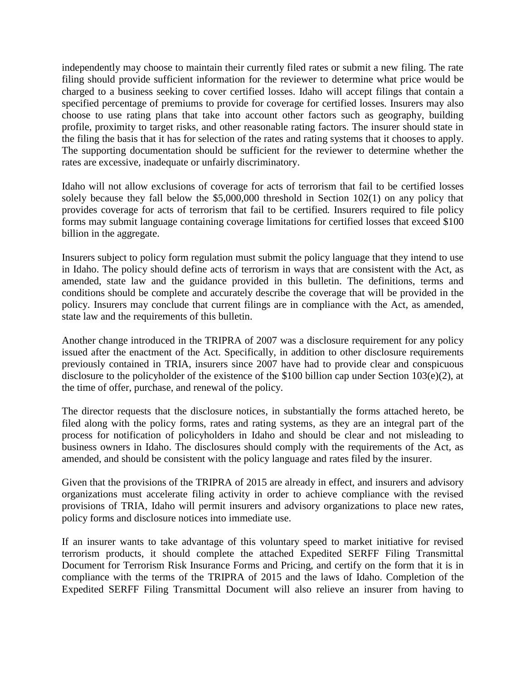independently may choose to maintain their currently filed rates or submit a new filing. The rate filing should provide sufficient information for the reviewer to determine what price would be charged to a business seeking to cover certified losses. Idaho will accept filings that contain a specified percentage of premiums to provide for coverage for certified losses*.* Insurers may also choose to use rating plans that take into account other factors such as geography, building profile, proximity to target risks, and other reasonable rating factors. The insurer should state in the filing the basis that it has for selection of the rates and rating systems that it chooses to apply. The supporting documentation should be sufficient for the reviewer to determine whether the rates are excessive, inadequate or unfairly discriminatory.

Idaho will not allow exclusions of coverage for acts of terrorism that fail to be certified losses solely because they fall below the \$5,000,000 threshold in Section 102(1) on any policy that provides coverage for acts of terrorism that fail to be certified*.* Insurers required to file policy forms may submit language containing coverage limitations for certified losses that exceed \$100 billion in the aggregate.

Insurers subject to policy form regulation must submit the policy language that they intend to use in Idaho. The policy should define acts of terrorism in ways that are consistent with the Act, as amended, state law and the guidance provided in this bulletin. The definitions, terms and conditions should be complete and accurately describe the coverage that will be provided in the policy. Insurers may conclude that current filings are in compliance with the Act, as amended, state law and the requirements of this bulletin.

Another change introduced in the TRIPRA of 2007 was a disclosure requirement for any policy issued after the enactment of the Act. Specifically, in addition to other disclosure requirements previously contained in TRIA, insurers since 2007 have had to provide clear and conspicuous disclosure to the policyholder of the existence of the \$100 billion cap under Section 103(e)(2), at the time of offer, purchase, and renewal of the policy.

The director requests that the disclosure notices, in substantially the forms attached hereto, be filed along with the policy forms, rates and rating systems, as they are an integral part of the process for notification of policyholders in Idaho and should be clear and not misleading to business owners in Idaho. The disclosures should comply with the requirements of the Act, as amended, and should be consistent with the policy language and rates filed by the insurer.

Given that the provisions of the TRIPRA of 2015 are already in effect, and insurers and advisory organizations must accelerate filing activity in order to achieve compliance with the revised provisions of TRIA, Idaho will permit insurers and advisory organizations to place new rates, policy forms and disclosure notices into immediate use.

If an insurer wants to take advantage of this voluntary speed to market initiative for revised terrorism products, it should complete the attached Expedited SERFF Filing Transmittal Document for Terrorism Risk Insurance Forms and Pricing, and certify on the form that it is in compliance with the terms of the TRIPRA of 2015 and the laws of Idaho. Completion of the Expedited SERFF Filing Transmittal Document will also relieve an insurer from having to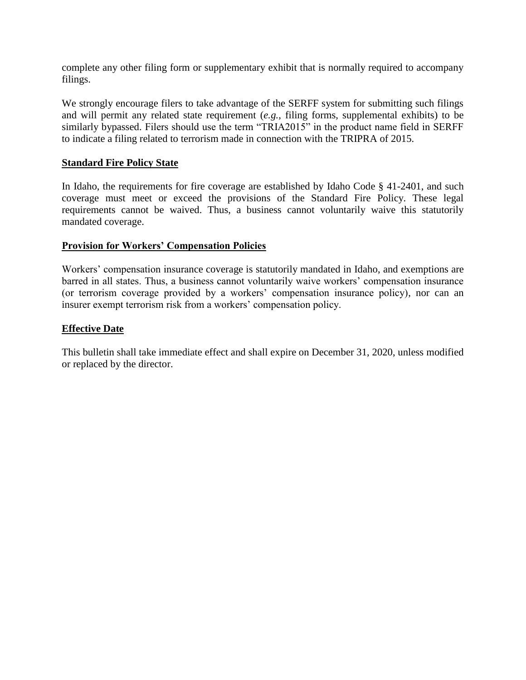complete any other filing form or supplementary exhibit that is normally required to accompany filings.

We strongly encourage filers to take advantage of the SERFF system for submitting such filings and will permit any related state requirement (*e.g.*, filing forms, supplemental exhibits) to be similarly bypassed. Filers should use the term "TRIA2015" in the product name field in SERFF to indicate a filing related to terrorism made in connection with the TRIPRA of 2015.

## **Standard Fire Policy State**

In Idaho, the requirements for fire coverage are established by Idaho Code § 41-2401, and such coverage must meet or exceed the provisions of the Standard Fire Policy. These legal requirements cannot be waived. Thus, a business cannot voluntarily waive this statutorily mandated coverage.

### **Provision for Workers' Compensation Policies**

Workers' compensation insurance coverage is statutorily mandated in Idaho, and exemptions are barred in all states. Thus, a business cannot voluntarily waive workers' compensation insurance (or terrorism coverage provided by a workers' compensation insurance policy), nor can an insurer exempt terrorism risk from a workers' compensation policy.

## **Effective Date**

This bulletin shall take immediate effect and shall expire on December 31, 2020, unless modified or replaced by the director.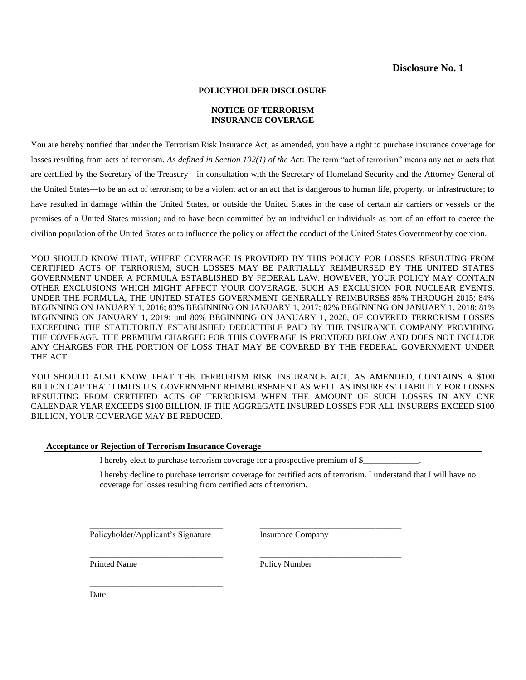### **Disclosure No. 1**

#### **POLICYHOLDER DISCLOSURE**

#### **NOTICE OF TERRORISM INSURANCE COVERAGE**

You are hereby notified that under the Terrorism Risk Insurance Act, as amended, you have a right to purchase insurance coverage for losses resulting from acts of terrorism. *As defined in Section 102(1) of the Act*: The term "act of terrorism" means any act or acts that are certified by the Secretary of the Treasury—in consultation with the Secretary of Homeland Security and the Attorney General of the United States—to be an act of terrorism; to be a violent act or an act that is dangerous to human life, property, or infrastructure; to have resulted in damage within the United States, or outside the United States in the case of certain air carriers or vessels or the premises of a United States mission; and to have been committed by an individual or individuals as part of an effort to coerce the civilian population of the United States or to influence the policy or affect the conduct of the United States Government by coercion.

YOU SHOULD KNOW THAT, WHERE COVERAGE IS PROVIDED BY THIS POLICY FOR LOSSES RESULTING FROM CERTIFIED ACTS OF TERRORISM, SUCH LOSSES MAY BE PARTIALLY REIMBURSED BY THE UNITED STATES GOVERNMENT UNDER A FORMULA ESTABLISHED BY FEDERAL LAW. HOWEVER, YOUR POLICY MAY CONTAIN OTHER EXCLUSIONS WHICH MIGHT AFFECT YOUR COVERAGE, SUCH AS EXCLUSION FOR NUCLEAR EVENTS. UNDER THE FORMULA, THE UNITED STATES GOVERNMENT GENERALLY REIMBURSES 85% THROUGH 2015; 84% BEGINNING ON JANUARY 1, 2016; 83% BEGINNING ON JANUARY 1, 2017; 82% BEGINNING ON JANUARY 1, 2018; 81% BEGINNING ON JANUARY 1, 2019; and 80% BEGINNING ON JANUARY 1, 2020, OF COVERED TERRORISM LOSSES EXCEEDING THE STATUTORILY ESTABLISHED DEDUCTIBLE PAID BY THE INSURANCE COMPANY PROVIDING THE COVERAGE. THE PREMIUM CHARGED FOR THIS COVERAGE IS PROVIDED BELOW AND DOES NOT INCLUDE ANY CHARGES FOR THE PORTION OF LOSS THAT MAY BE COVERED BY THE FEDERAL GOVERNMENT UNDER THE ACT.

YOU SHOULD ALSO KNOW THAT THE TERRORISM RISK INSURANCE ACT, AS AMENDED, CONTAINS A \$100 BILLION CAP THAT LIMITS U.S. GOVERNMENT REIMBURSEMENT AS WELL AS INSURERS' LIABILITY FOR LOSSES RESULTING FROM CERTIFIED ACTS OF TERRORISM WHEN THE AMOUNT OF SUCH LOSSES IN ANY ONE CALENDAR YEAR EXCEEDS \$100 BILLION. IF THE AGGREGATE INSURED LOSSES FOR ALL INSURERS EXCEED \$100 BILLION, YOUR COVERAGE MAY BE REDUCED.

#### **Acceptance or Rejection of Terrorism Insurance Coverage**

| I hereby elect to purchase terrorism coverage for a prospective premium of \$_                                    |
|-------------------------------------------------------------------------------------------------------------------|
| I hereby decline to purchase terrorism coverage for certified acts of terrorism. I understand that I will have no |
| coverage for losses resulting from certified acts of terrorism.                                                   |

\_\_\_\_\_\_\_\_\_\_\_\_\_\_\_\_\_\_\_\_\_\_\_\_\_\_\_\_\_\_\_ \_\_\_\_\_\_\_\_\_\_\_\_\_\_\_\_\_\_\_\_\_\_\_\_\_\_\_\_\_\_\_\_\_

\_\_\_\_\_\_\_\_\_\_\_\_\_\_\_\_\_\_\_\_\_\_\_\_\_\_\_\_\_\_\_ \_\_\_\_\_\_\_\_\_\_\_\_\_\_\_\_\_\_\_\_\_\_\_\_\_\_\_\_\_\_\_\_\_

Policyholder/Applicant's Signature Insurance Company

\_\_\_\_\_\_\_\_\_\_\_\_\_\_\_\_\_\_\_\_\_\_\_\_\_\_\_\_\_\_\_

Printed Name Policy Number

Date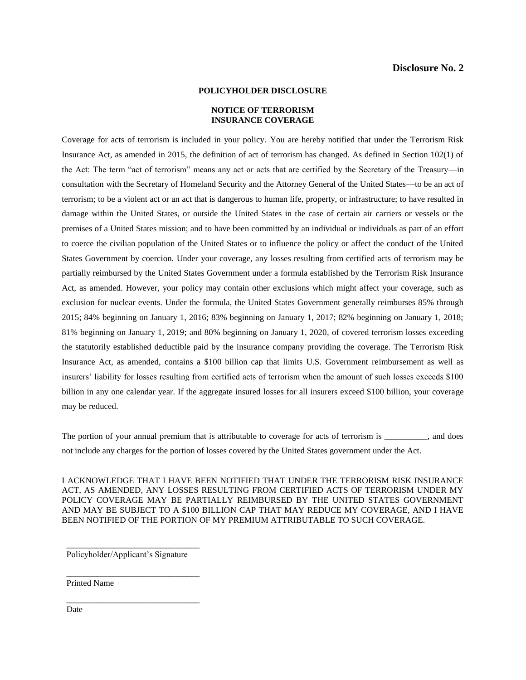#### **POLICYHOLDER DISCLOSURE**

#### **NOTICE OF TERRORISM INSURANCE COVERAGE**

Coverage for acts of terrorism is included in your policy. You are hereby notified that under the Terrorism Risk Insurance Act, as amended in 2015, the definition of act of terrorism has changed. As defined in Section 102(1) of the Act: The term "act of terrorism" means any act or acts that are certified by the Secretary of the Treasury—in consultation with the Secretary of Homeland Security and the Attorney General of the United States—to be an act of terrorism; to be a violent act or an act that is dangerous to human life, property, or infrastructure; to have resulted in damage within the United States, or outside the United States in the case of certain air carriers or vessels or the premises of a United States mission; and to have been committed by an individual or individuals as part of an effort to coerce the civilian population of the United States or to influence the policy or affect the conduct of the United States Government by coercion. Under your coverage, any losses resulting from certified acts of terrorism may be partially reimbursed by the United States Government under a formula established by the Terrorism Risk Insurance Act, as amended. However, your policy may contain other exclusions which might affect your coverage, such as exclusion for nuclear events. Under the formula, the United States Government generally reimburses 85% through 2015; 84% beginning on January 1, 2016; 83% beginning on January 1, 2017; 82% beginning on January 1, 2018; 81% beginning on January 1, 2019; and 80% beginning on January 1, 2020, of covered terrorism losses exceeding the statutorily established deductible paid by the insurance company providing the coverage. The Terrorism Risk Insurance Act, as amended, contains a \$100 billion cap that limits U.S. Government reimbursement as well as insurers' liability for losses resulting from certified acts of terrorism when the amount of such losses exceeds \$100 billion in any one calendar year. If the aggregate insured losses for all insurers exceed \$100 billion, your coverage may be reduced.

The portion of your annual premium that is attributable to coverage for acts of terrorism is \_\_\_\_\_\_\_\_, and does not include any charges for the portion of losses covered by the United States government under the Act.

I ACKNOWLEDGE THAT I HAVE BEEN NOTIFIED THAT UNDER THE TERRORISM RISK INSURANCE ACT, AS AMENDED, ANY LOSSES RESULTING FROM CERTIFIED ACTS OF TERRORISM UNDER MY POLICY COVERAGE MAY BE PARTIALLY REIMBURSED BY THE UNITED STATES GOVERNMENT AND MAY BE SUBJECT TO A \$100 BILLION CAP THAT MAY REDUCE MY COVERAGE, AND I HAVE BEEN NOTIFIED OF THE PORTION OF MY PREMIUM ATTRIBUTABLE TO SUCH COVERAGE.

Policyholder/Applicant's Signature

\_\_\_\_\_\_\_\_\_\_\_\_\_\_\_\_\_\_\_\_\_\_\_\_\_\_\_\_\_\_\_

\_\_\_\_\_\_\_\_\_\_\_\_\_\_\_\_\_\_\_\_\_\_\_\_\_\_\_\_\_\_\_

\_\_\_\_\_\_\_\_\_\_\_\_\_\_\_\_\_\_\_\_\_\_\_\_\_\_\_\_\_\_\_

Printed Name

Date